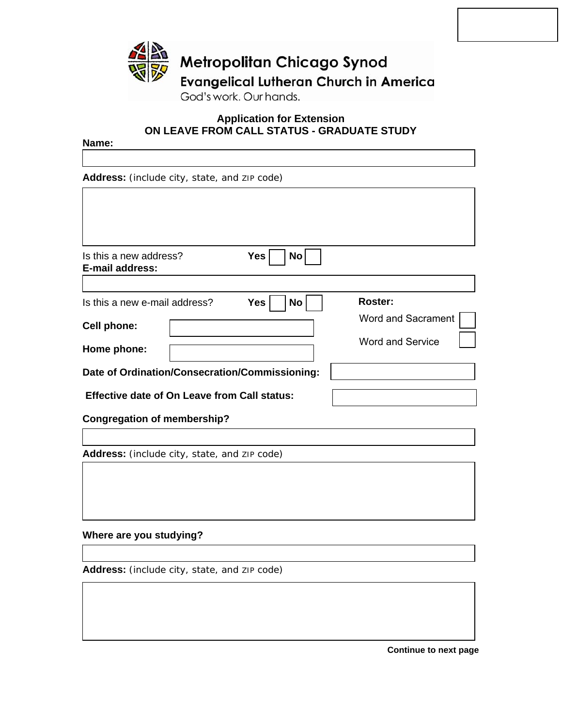

## **Application for Extension ON LEAVE FROM CALL STATUS - GRADUATE STUDY**

### **Name:**

**Address:** (include city, state, and ZIP code)

| <b>Yes</b><br>Is this a new address?<br><b>E-mail address:</b> | <b>No</b>               |
|----------------------------------------------------------------|-------------------------|
|                                                                |                         |
| <b>Yes</b><br>Is this a new e-mail address?                    | Roster:<br>No           |
| <b>Cell phone:</b>                                             | Word and Sacrament      |
| Home phone:                                                    | <b>Word and Service</b> |
| Date of Ordination/Consecration/Commissioning:                 |                         |
| <b>Effective date of On Leave from Call status:</b>            |                         |
| <b>Congregation of membership?</b>                             |                         |

**Address:** (include city, state, and ZIP code)

### **Where are you studying?**

**Address:** (include city, state, and ZIP code)

**Continue to next page**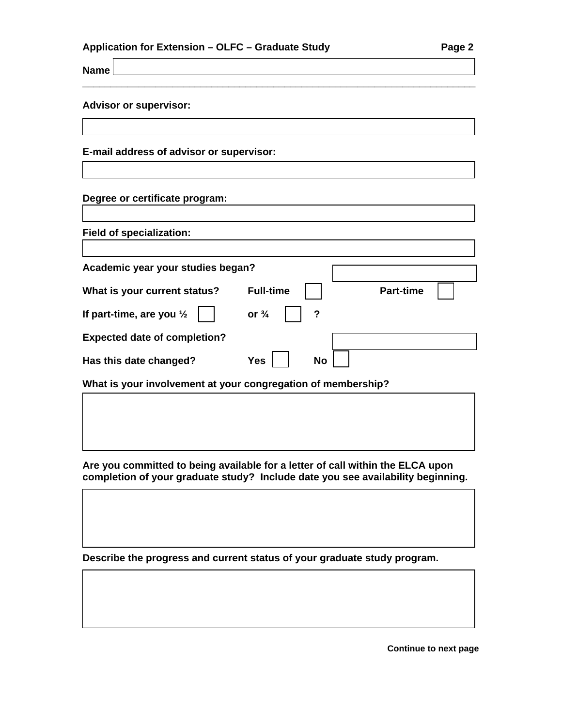| Application for Extension – OLFC – Graduate Study | Page 2 |
|---------------------------------------------------|--------|
|---------------------------------------------------|--------|

**Name** 

### **Advisor or supervisor:**

**E-mail address of advisor or supervisor:** 

# **Degree or certificate program:**

| <b>Field of specialization:</b>                              |                  |           |  |                  |  |
|--------------------------------------------------------------|------------------|-----------|--|------------------|--|
|                                                              |                  |           |  |                  |  |
| Academic year your studies began?                            |                  |           |  |                  |  |
| What is your current status?                                 | <b>Full-time</b> |           |  | <b>Part-time</b> |  |
| If part-time, are you $\frac{1}{2}$                          | or $\frac{3}{4}$ | ?         |  |                  |  |
| <b>Expected date of completion?</b>                          |                  |           |  |                  |  |
| Has this date changed?                                       | <b>Yes</b>       | <b>No</b> |  |                  |  |
| What is your involvement at your congregation of membership? |                  |           |  |                  |  |

\_\_\_\_\_\_\_\_\_\_\_\_\_\_\_\_\_\_\_\_\_\_\_\_\_\_\_\_\_\_\_\_\_\_\_\_\_\_\_\_\_\_\_\_\_\_\_\_\_\_\_\_\_\_\_\_\_\_\_\_\_\_\_\_\_\_\_\_\_\_

**Are you committed to being available for a letter of call within the ELCA upon completion of your graduate study? Include date you see availability beginning.** 

**Describe the progress and current status of your graduate study program.** 

**Continue to next page**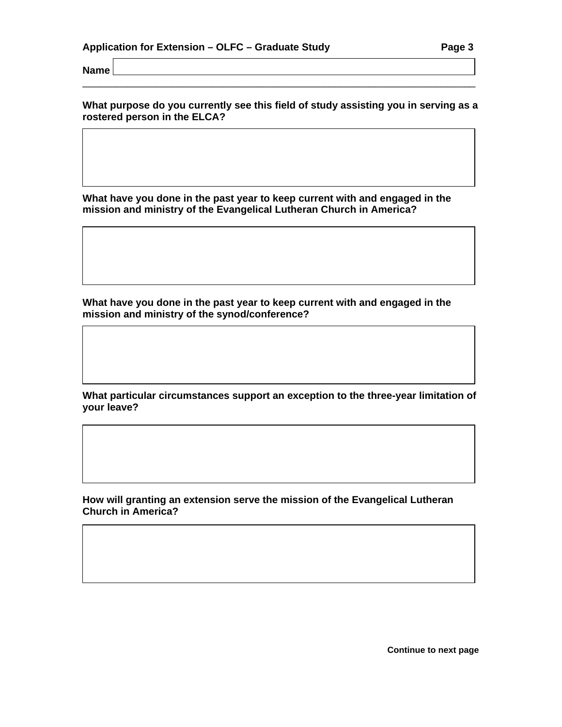**Name** 

**What purpose do you currently see this field of study assisting you in serving as a rostered person in the ELCA?**

\_\_\_\_\_\_\_\_\_\_\_\_\_\_\_\_\_\_\_\_\_\_\_\_\_\_\_\_\_\_\_\_\_\_\_\_\_\_\_\_\_\_\_\_\_\_\_\_\_\_\_\_\_\_\_\_\_\_\_\_\_\_\_\_\_\_\_\_\_\_

**What have you done in the past year to keep current with and engaged in the mission and ministry of the Evangelical Lutheran Church in America?** 

**What have you done in the past year to keep current with and engaged in the mission and ministry of the synod/conference?** 

**What particular circumstances support an exception to the three-year limitation of your leave?** 

**How will granting an extension serve the mission of the Evangelical Lutheran Church in America?** 

**Continue to next page**